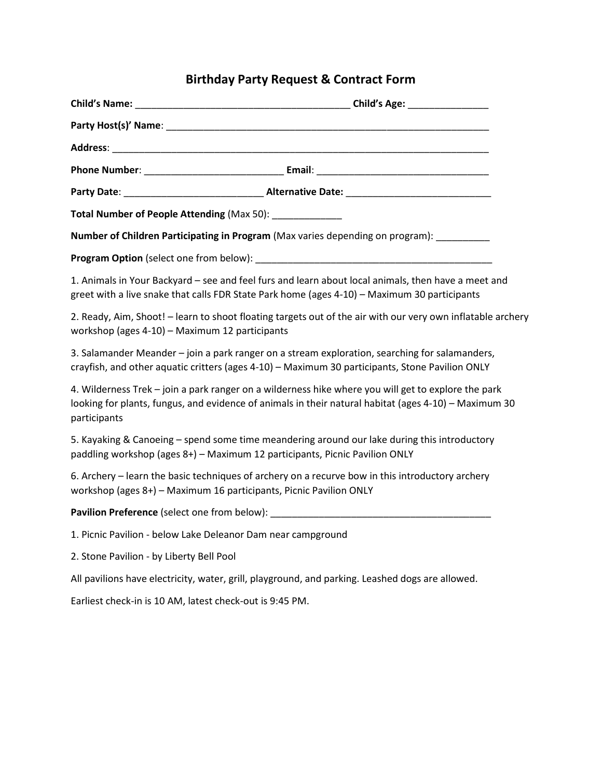## **Birthday Party Request & Contract Form**

| Total Number of People Attending (Max 50): ______________                        |                                                                                                                                                                                                              |
|----------------------------------------------------------------------------------|--------------------------------------------------------------------------------------------------------------------------------------------------------------------------------------------------------------|
|                                                                                  |                                                                                                                                                                                                              |
|                                                                                  | Number of Children Participating in Program (Max varies depending on program): ________                                                                                                                      |
|                                                                                  |                                                                                                                                                                                                              |
|                                                                                  | 1. Animals in Your Backyard – see and feel furs and learn about local animals, then have a meet and<br>greet with a live snake that calls FDR State Park home (ages 4-10) - Maximum 30 participants          |
| workshop (ages 4-10) - Maximum 12 participants                                   | 2. Ready, Aim, Shoot! - learn to shoot floating targets out of the air with our very own inflatable archery                                                                                                  |
|                                                                                  | 3. Salamander Meander - join a park ranger on a stream exploration, searching for salamanders,<br>crayfish, and other aquatic critters (ages 4-10) - Maximum 30 participants, Stone Pavilion ONLY            |
| participants                                                                     | 4. Wilderness Trek - join a park ranger on a wilderness hike where you will get to explore the park<br>looking for plants, fungus, and evidence of animals in their natural habitat (ages 4-10) - Maximum 30 |
| paddling workshop (ages 8+) - Maximum 12 participants, Picnic Pavilion ONLY      | 5. Kayaking & Canoeing – spend some time meandering around our lake during this introductory                                                                                                                 |
| workshop (ages 8+) - Maximum 16 participants, Picnic Pavilion ONLY               | 6. Archery – learn the basic techniques of archery on a recurve bow in this introductory archery                                                                                                             |
| Pavilion Preference (select one from below): ___________________________________ |                                                                                                                                                                                                              |
| 1. Picnic Pavilion - below Lake Deleanor Dam near campground                     |                                                                                                                                                                                                              |
| 2. Stone Pavilion - by Liberty Bell Pool                                         |                                                                                                                                                                                                              |
|                                                                                  | All pavilions have electricity, water, grill, playground, and parking. Leashed dogs are allowed.                                                                                                             |
| Earliest check-in is 10 AM, latest check-out is 9:45 PM.                         |                                                                                                                                                                                                              |